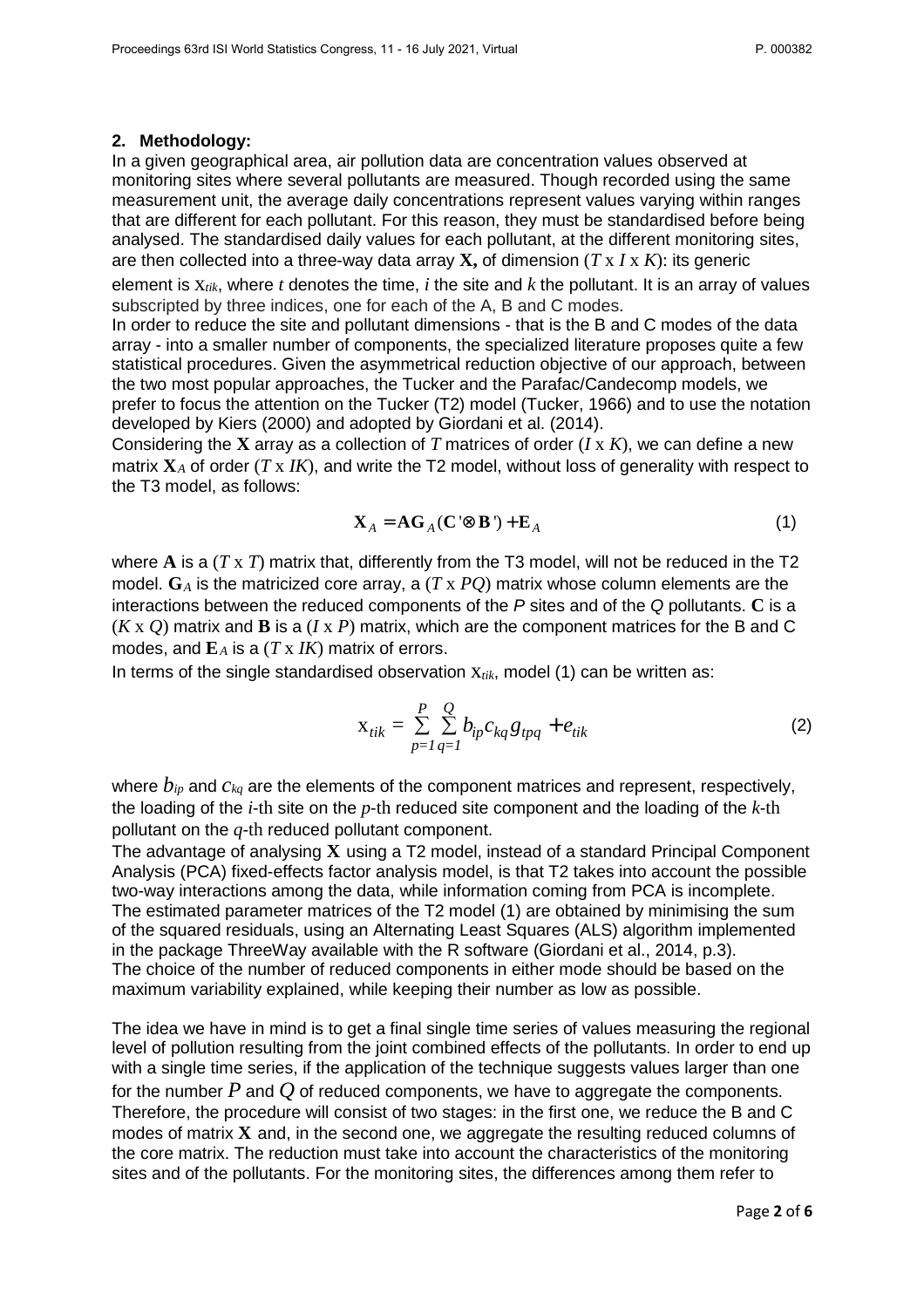## **2. Methodology:**

In a given geographical area, air pollution data are concentration values observed at monitoring sites where several pollutants are measured. Though recorded using the same measurement unit, the average daily concentrations represent values varying within ranges that are different for each pollutant. For this reason, they must be standardised before being analysed. The standardised daily values for each pollutant, at the different monitoring sites, are then collected into a three-way data array **X,** of dimension (*T* x *I* x *K*): its generic

element is x*tik*, where *t* denotes the time, *i* the site and *k* the pollutant. It is an array of values subscripted by three indices, one for each of the A, B and C modes.

In order to reduce the site and pollutant dimensions - that is the B and C modes of the data array - into a smaller number of components, the specialized literature proposes quite a few statistical procedures. Given the asymmetrical reduction objective of our approach, between the two most popular approaches, the Tucker and the Parafac/Candecomp models, we prefer to focus the attention on the Tucker (T2) model (Tucker, 1966) and to use the notation developed by Kiers (2000) and adopted by Giordani et al. (2014).

Considering the **X** array as a collection of *T* matrices of order (*I* x *K*), we can define a new matrix **X***A* of order (*T* x *IK*), and write the T2 model, without loss of generality with respect to the T3 model, as follows:

$$
\mathbf{X}_A = \mathbf{A}\mathbf{G}_A (\mathbf{C} \otimes \mathbf{B}') + \mathbf{E}_A \tag{1}
$$

where **A** is a (*T* x *T*) matrix that, differently from the T3 model, will not be reduced in the T2 model. **G***A* is the matricized core array, a (*T* x *PQ*) matrix whose column elements are the interactions between the reduced components of the P sites and of the Q pollutants. **C** is a (*K* x *Q*) matrix and **B** is a (*I* x *P*) matrix, which are the component matrices for the B and C modes, and  $\mathbf{E}_A$  is a (*T* x *IK*) matrix of errors.

In terms of the single standardised observation x*tik*, model (1) can be written as:

$$
X_{tik} = \sum_{p=1}^{P} \sum_{q=1}^{Q} b_{ip} c_{kq} g_{tpq} + e_{tik}
$$
 (2)

where *bip* and *ckq* are the elements of the component matrices and represent, respectively, the loading of the *i*-th site on the *p*-th reduced site component and the loading of the *k*-th pollutant on the *q*-th reduced pollutant component.

The advantage of analysing **X** using a T2 model, instead of a standard Principal Component Analysis (PCA) fixed-effects factor analysis model, is that T2 takes into account the possible two-way interactions among the data, while information coming from PCA is incomplete. The estimated parameter matrices of the T2 model (1) are obtained by minimising the sum of the squared residuals, using an Alternating Least Squares (ALS) algorithm implemented in the package ThreeWay available with the R software (Giordani et al., 2014, p.3). The choice of the number of reduced components in either mode should be based on the maximum variability explained, while keeping their number as low as possible.

The idea we have in mind is to get a final single time series of values measuring the regional level of pollution resulting from the joint combined effects of the pollutants. In order to end up with a single time series, if the application of the technique suggests values larger than one for the number *P* and *Q* of reduced components, we have to aggregate the components. Therefore, the procedure will consist of two stages: in the first one, we reduce the B and C modes of matrix **X** and, in the second one, we aggregate the resulting reduced columns of the core matrix. The reduction must take into account the characteristics of the monitoring sites and of the pollutants. For the monitoring sites, the differences among them refer to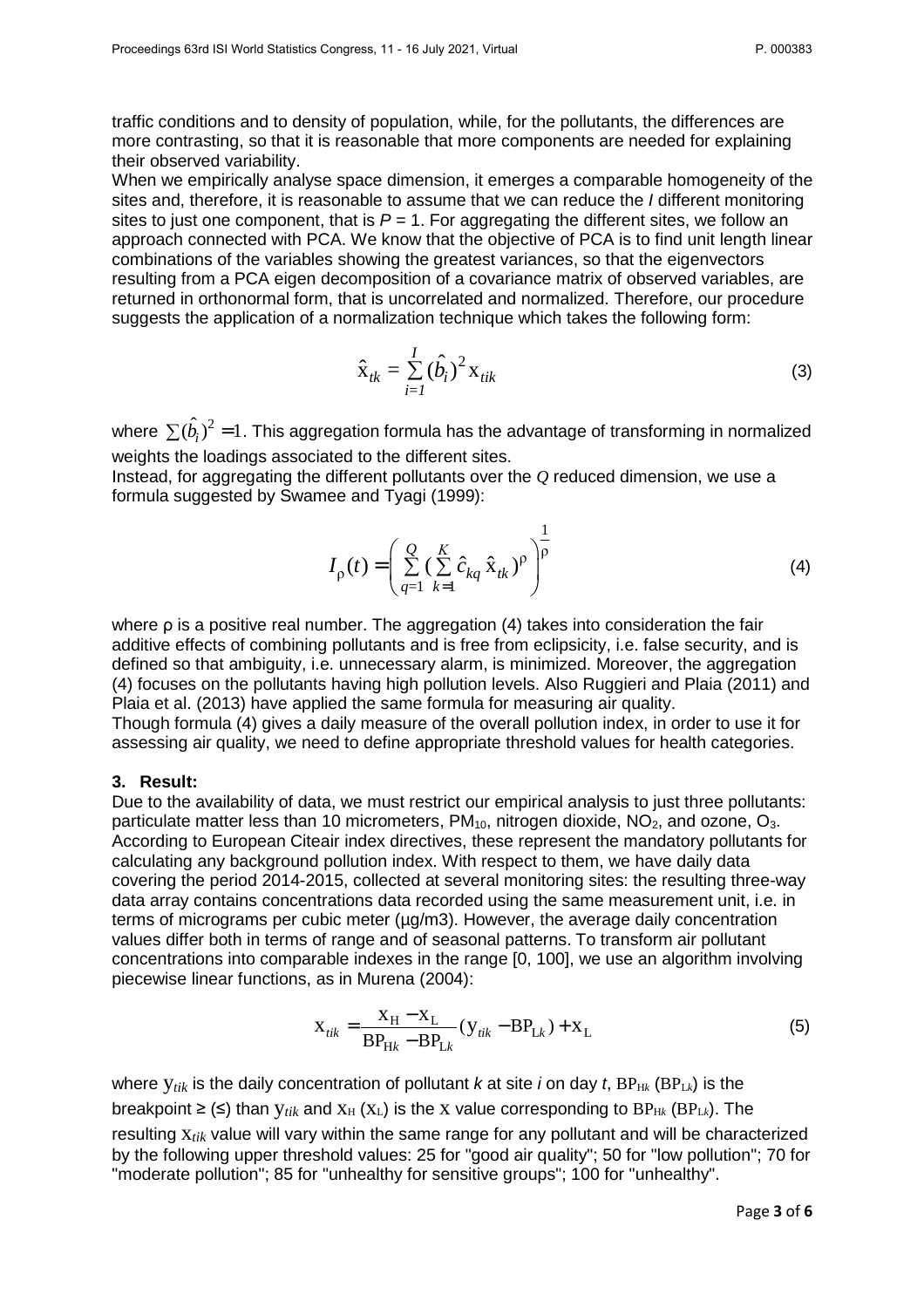traffic conditions and to density of population, while, for the pollutants, the differences are more contrasting, so that it is reasonable that more components are needed for explaining their observed variability.

When we empirically analyse space dimension, it emerges a comparable homogeneity of the sites and, therefore, it is reasonable to assume that we can reduce the *I* different monitoring sites to just one component, that is  $P = 1$ . For aggregating the different sites, we follow an approach connected with PCA. We know that the objective of PCA is to find unit length linear combinations of the variables showing the greatest variances, so that the eigenvectors resulting from a PCA eigen decomposition of a covariance matrix of observed variables, are returned in orthonormal form, that is uncorrelated and normalized. Therefore, our procedure suggests the application of a normalization technique which takes the following form:

$$
\hat{\mathbf{x}}_{tk} = \sum_{i=1}^{I} (\hat{b}_i)^2 \mathbf{x}_{tik}
$$
 (3)

where  $\sum (\hat{b}_i)^2 = 1$ . This aggregation formula has the advantage of transforming in normalized weights the loadings associated to the different sites.

Instead, for aggregating the different pollutants over the *Q* reduced dimension, we use a formula suggested by Swamee and Tyagi (1999):

$$
I_{\rho}(t) = \left(\sum_{q=1}^{Q} \left(\sum_{k=1}^{K} \hat{c}_{kq} \hat{x}_{tk}\right)^{\rho}\right)^{\frac{1}{\rho}}
$$
(4)

where ρ is a positive real number. The aggregation (4) takes into consideration the fair additive effects of combining pollutants and is free from eclipsicity, i.e. false security, and is defined so that ambiguity, i.e. unnecessary alarm, is minimized. Moreover, the aggregation (4) focuses on the pollutants having high pollution levels. Also Ruggieri and Plaia (2011) and Plaia et al. (2013) have applied the same formula for measuring air quality.

Though formula (4) gives a daily measure of the overall pollution index, in order to use it for assessing air quality, we need to define appropriate threshold values for health categories.

## **3. Result:**

Due to the availability of data, we must restrict our empirical analysis to just three pollutants: particulate matter less than 10 micrometers,  $PM_{10}$ , nitrogen dioxide,  $NO<sub>2</sub>$ , and ozone,  $O<sub>3</sub>$ . According to European Citeair index directives, these represent the mandatory pollutants for calculating any background pollution index. With respect to them, we have daily data covering the period 2014-2015, collected at several monitoring sites: the resulting three-way data array contains concentrations data recorded using the same measurement unit, i.e. in terms of micrograms per cubic meter (µg/m3). However, the average daily concentration values differ both in terms of range and of seasonal patterns. To transform air pollutant concentrations into comparable indexes in the range [0, 100], we use an algorithm involving piecewise linear functions, as in Murena (2004):

$$
X_{tik} = \frac{X_H - X_L}{BP_{Hk} - BP_{Lk}} (y_{tik} - BP_{Lk}) + X_L
$$
 (5)

where  $V_{tik}$  is the daily concentration of pollutant k at site i on day t,  $BP_{Hk}$  ( $BP_{Lk}$ ) is the breakpoint  $\geq$  ( $\leq$ ) than  $y_{tik}$  and  $x_H$  ( $x_L$ ) is the x value corresponding to  $BP_{Hk}$  ( $BP_{Lk}$ ). The resulting x*tik* value will vary within the same range for any pollutant and will be characterized by the following upper threshold values: 25 for "good air quality"; 50 for "low pollution"; 70 for "moderate pollution"; 85 for "unhealthy for sensitive groups"; 100 for "unhealthy".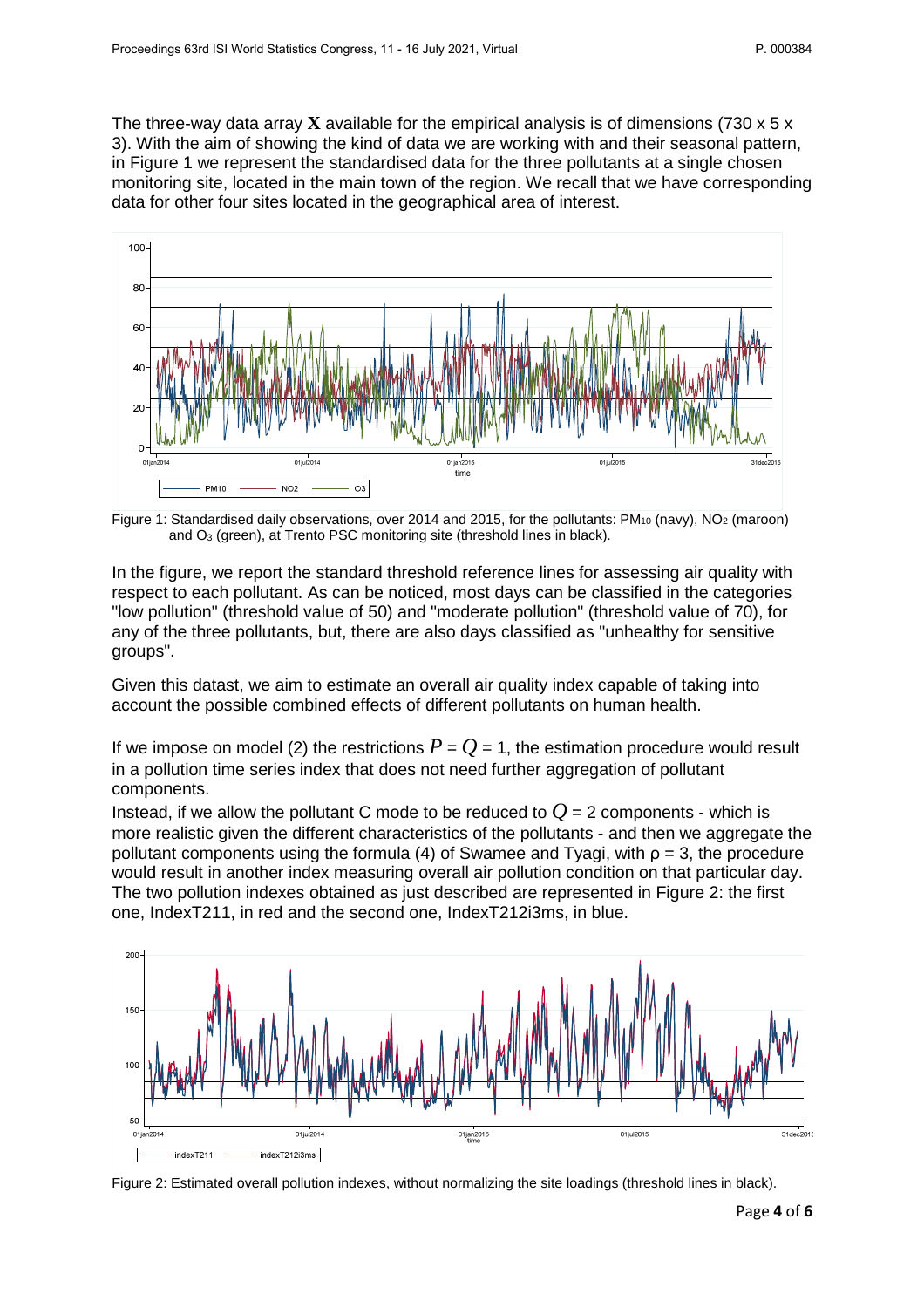The three-way data array **X** available for the empirical analysis is of dimensions (730 x 5 x 3). With the aim of showing the kind of data we are working with and their seasonal pattern, in Figure 1 we represent the standardised data for the three pollutants at a single chosen monitoring site, located in the main town of the region. We recall that we have corresponding data for other four sites located in the geographical area of interest.



Figure 1: Standardised daily observations, over 2014 and 2015, for the pollutants: PM<sub>10</sub> (navy), NO<sub>2</sub> (maroon) and O3 (green), at Trento PSC monitoring site (threshold lines in black).

In the figure, we report the standard threshold reference lines for assessing air quality with respect to each pollutant. As can be noticed, most days can be classified in the categories "low pollution" (threshold value of 50) and "moderate pollution" (threshold value of 70), for any of the three pollutants, but, there are also days classified as "unhealthy for sensitive groups".

Given this datast, we aim to estimate an overall air quality index capable of taking into account the possible combined effects of different pollutants on human health.

If we impose on model (2) the restrictions  $P = Q = 1$ , the estimation procedure would result in a pollution time series index that does not need further aggregation of pollutant components.

Instead, if we allow the pollutant C mode to be reduced to  $Q = 2$  components - which is more realistic given the different characteristics of the pollutants - and then we aggregate the pollutant components using the formula (4) of Swamee and Tyagi, with  $\rho = 3$ , the procedure would result in another index measuring overall air pollution condition on that particular day. The two pollution indexes obtained as just described are represented in Figure 2: the first one, IndexT211, in red and the second one, IndexT212i3ms, in blue.



Figure 2: Estimated overall pollution indexes, without normalizing the site loadings (threshold lines in black).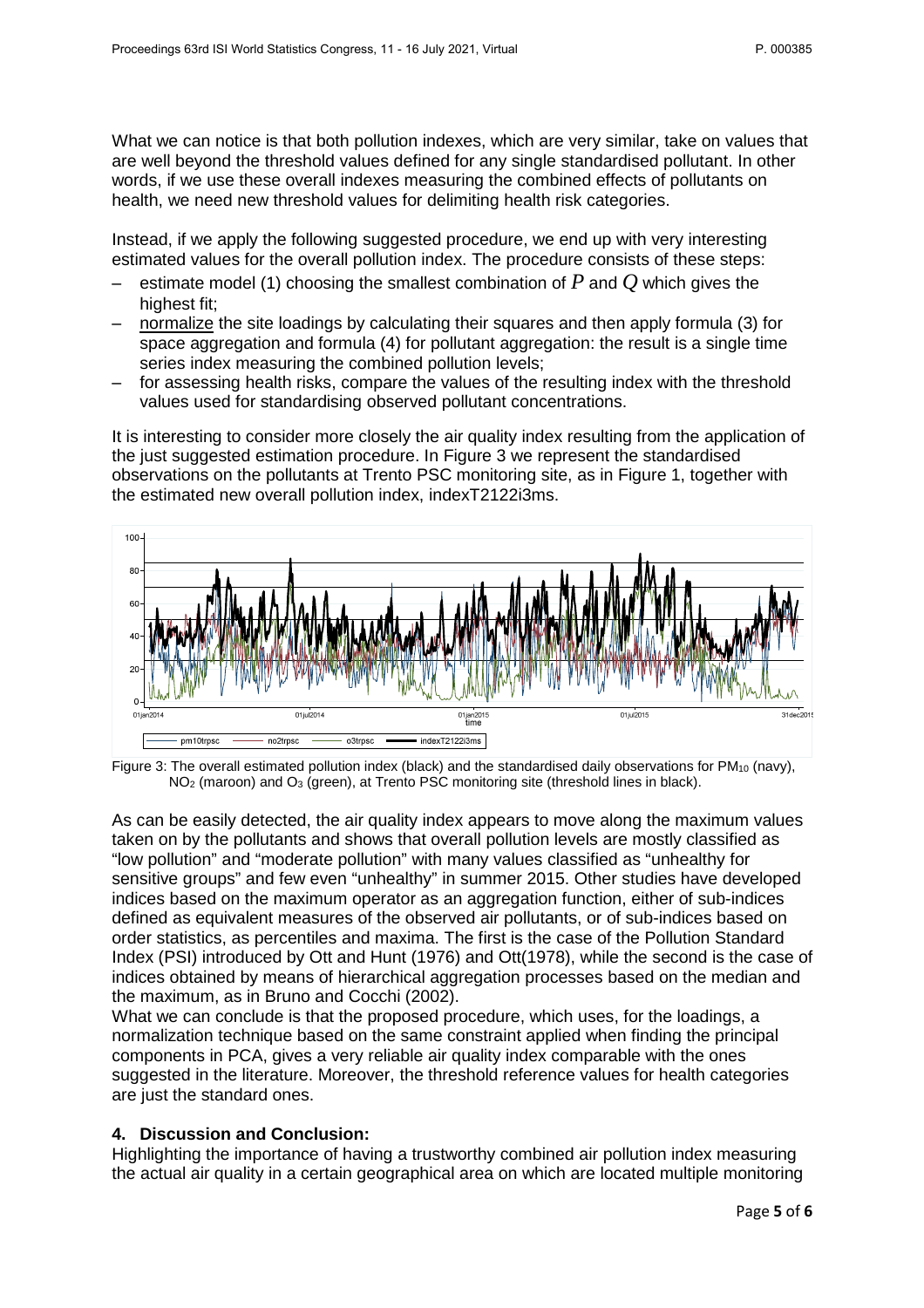What we can notice is that both pollution indexes, which are very similar, take on values that are well beyond the threshold values defined for any single standardised pollutant. In other words, if we use these overall indexes measuring the combined effects of pollutants on health, we need new threshold values for delimiting health risk categories.

Instead, if we apply the following suggested procedure, we end up with very interesting estimated values for the overall pollution index. The procedure consists of these steps:

- estimate model (1) choosing the smallest combination of  $P$  and  $Q$  which gives the highest fit:
- normalize the site loadings by calculating their squares and then apply formula (3) for space aggregation and formula (4) for pollutant aggregation: the result is a single time series index measuring the combined pollution levels;
- for assessing health risks, compare the values of the resulting index with the threshold values used for standardising observed pollutant concentrations.

It is interesting to consider more closely the air quality index resulting from the application of the just suggested estimation procedure. In Figure 3 we represent the standardised observations on the pollutants at Trento PSC monitoring site, as in Figure 1, together with the estimated new overall pollution index, indexT2122i3ms.



Figure 3: The overall estimated pollution index (black) and the standardised daily observations for  $PM_{10}$  (navy), NO<sub>2</sub> (maroon) and O<sub>3</sub> (green), at Trento PSC monitoring site (threshold lines in black).

As can be easily detected, the air quality index appears to move along the maximum values taken on by the pollutants and shows that overall pollution levels are mostly classified as "low pollution" and "moderate pollution" with many values classified as "unhealthy for sensitive groups" and few even "unhealthy" in summer 2015. Other studies have developed indices based on the maximum operator as an aggregation function, either of sub-indices defined as equivalent measures of the observed air pollutants, or of sub-indices based on order statistics, as percentiles and maxima. The first is the case of the Pollution Standard Index (PSI) introduced by Ott and Hunt (1976) and Ott(1978), while the second is the case of indices obtained by means of hierarchical aggregation processes based on the median and the maximum, as in Bruno and Cocchi (2002).

What we can conclude is that the proposed procedure, which uses, for the loadings, a normalization technique based on the same constraint applied when finding the principal components in PCA, gives a very reliable air quality index comparable with the ones suggested in the literature. Moreover, the threshold reference values for health categories are just the standard ones.

## **4. Discussion and Conclusion:**

Highlighting the importance of having a trustworthy combined air pollution index measuring the actual air quality in a certain geographical area on which are located multiple monitoring